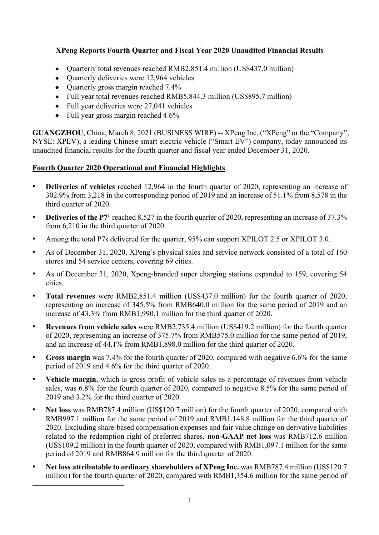# **XPeng Reports Fourth Quarter and Fiscal Year 2020 Unaudited Financial Results**

- Quarterly total revenues reached RMB2,851.4 million (US\$437.0 million)
- Ouarterly deliveries were 12,964 vehicles
- Quarterly gross margin reached 7.4%
- Full year total revenues reached RMB5,844.3 million (US\$895.7 million)
- Full year deliveries were 27,041 vehicles
- Full year gross margin reached 4.6%

**GUANGZHOU**, China, March 8, 2021 (BUSINESS WIRE) -- XPeng Inc. ("XPeng" or the "Company", NYSE: XPEV), a leading Chinese smart electric vehicle ("Smart EV") company, today announced its unaudited financial results for the fourth quarter and fiscal year ended December 31, 2020.

# **Fourth Quarter 2020 Operational and Financial Highlights**

- **Deliveries of vehicles** reached 12,964 in the fourth quarter of 2020, representing an increase of 302.9% from 3,218 in the corresponding period of 2019 and an increase of 51.1% from 8,578 in the third quarter of 2020.
- **Deliveries of the P7<sup>1</sup>** reached 8,527 in the fourth quarter of 2020, representing an increase of 37.3% from 6,210 in the third quarter of 2020.
- Among the total P7s delivered for the quarter, 95% can support XPILOT 2.5 or XPILOT 3.0.
- As of December 31, 2020, XPeng's physical sales and service network consisted of a total of 160 stores and 54 service centers, covering 69 cities.
- As of December 31, 2020, Xpeng-branded super charging stations expanded to 159, covering 54 cities.
- **Total revenues** were RMB2,851.4 million (US\$437.0 million) for the fourth quarter of 2020, representing an increase of 345.5% from RMB640.0 million for the same period of 2019 and an increase of 43.3% from RMB1,990.1 million for the third quarter of 2020.
- **Revenues from vehicle sales** were RMB2,735.4 million (US\$419.2 million) for the fourth quarter of 2020, representing an increase of 375.7% from RMB575.0 million for the same period of 2019, and an increase of 44.1% from RMB1,898.0 million for the third quarter of 2020.
- **Gross margin** was 7.4% for the fourth quarter of 2020, compared with negative 6.6% for the same period of 2019 and 4.6% for the third quarter of 2020.
- **Vehicle margin**, which is gross profit of vehicle sales as a percentage of revenues from vehicle sales, was 6.8% for the fourth quarter of 2020, compared to negative 8.5% for the same period of 2019 and 3.2% for the third quarter of 2020.
- **Net loss** was RMB787.4 million (US\$120.7 million) for the fourth quarter of 2020, compared with RMB997.1 million for the same period of 2019 and RMB1,148.8 million for the third quarter of 2020. Excluding share-based compensation expenses and fair value change on derivative liabilities related to the redemption right of preferred shares, **non-GAAP net loss** was RMB712.6 million (US\$109.2 million) in the fourth quarter of 2020, compared with RMB1,097.1 million for the same period of 2019 and RMB864.9 million for the third quarter of 2020.
- **Net loss attributable to ordinary shareholders of XPeng Inc.** was RMB787.4 million (US\$120.7 million) for the fourth quarter of 2020, compared with RMB1,354.6 million for the same period of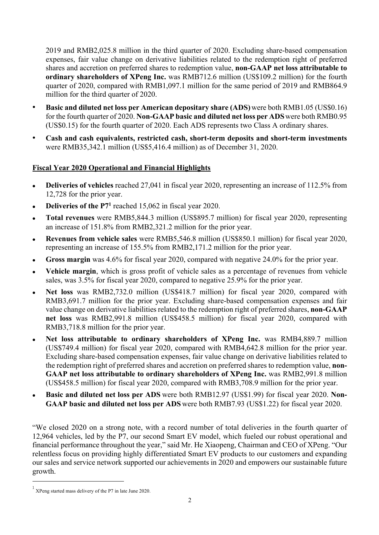2019 and RMB2,025.8 million in the third quarter of 2020. Excluding share-based compensation expenses, fair value change on derivative liabilities related to the redemption right of preferred shares and accretion on preferred shares to redemption value, **non-GAAP net loss attributable to ordinary shareholders of XPeng Inc.** was RMB712.6 million (US\$109.2 million) for the fourth quarter of 2020, compared with RMB1,097.1 million for the same period of 2019 and RMB864.9 million for the third quarter of 2020.

- **Basic and diluted net loss per American depositary share (ADS)**were both RMB1.05 (US\$0.16) for the fourth quarter of 2020. **Non-GAAP basic and diluted net loss per ADS**were both RMB0.95 (US\$0.15) for the fourth quarter of 2020. Each ADS represents two Class A ordinary shares.
- **Cash and cash equivalents, restricted cash, short-term deposits and short-term investments** were RMB35,342.1 million (US\$5,416.4 million) as of December 31, 2020.

## **Fiscal Year 2020 Operational and Financial Highlights**

- **•** Deliveries of vehicles reached 27,041 in fiscal year 2020, representing an increase of 112.5% from 12,728 for the prior year.
- **Deliveries of the P7<sup>1</sup>** reached 15,062 in fiscal year 2020.
- <sup>l</sup> **Total revenues** were RMB5,844.3 million (US\$895.7 million) for fiscal year 2020, representing an increase of 151.8% from RMB2,321.2 million for the prior year.
- <sup>l</sup> **Revenues from vehicle sales** were RMB5,546.8 million (US\$850.1 million) for fiscal year 2020, representing an increase of 155.5% from RMB2,171.2 million for the prior year.
- **Gross margin** was 4.6% for fiscal year 2020, compared with negative 24.0% for the prior year.
- Vehicle margin, which is gross profit of vehicle sales as a percentage of revenues from vehicle sales, was 3.5% for fiscal year 2020, compared to negative 25.9% for the prior year.
- <sup>l</sup> **Net loss** was RMB2,732.0 million (US\$418.7 million) for fiscal year 2020, compared with RMB3,691.7 million for the prior year. Excluding share-based compensation expenses and fair value change on derivative liabilities related to the redemption right of preferred shares, **non-GAAP net loss** was RMB2,991.8 million (US\$458.5 million) for fiscal year 2020, compared with RMB3,718.8 million for the prior year.
- Net loss attributable to ordinary shareholders of XPeng Inc. was RMB4,889.7 million (US\$749.4 million) for fiscal year 2020, compared with RMB4,642.8 million for the prior year. Excluding share-based compensation expenses, fair value change on derivative liabilities related to the redemption right of preferred shares and accretion on preferred shares to redemption value, **non-GAAP net loss attributable to ordinary shareholders of XPeng Inc.** was RMB2,991.8 million (US\$458.5 million) for fiscal year 2020, compared with RMB3,708.9 million for the prior year.
- Basic and diluted net loss per ADS were both RMB12.97 (US\$1.99) for fiscal year 2020. Non-**GAAP basic and diluted net loss per ADS** were both RMB7.93 (US\$1.22) for fiscal year 2020.

"We closed 2020 on a strong note, with a record number of total deliveries in the fourth quarter of 12,964 vehicles, led by the P7, our second Smart EV model, which fueled our robust operational and financial performance throughout the year," said Mr. He Xiaopeng, Chairman and CEO of XPeng. "Our relentless focus on providing highly differentiated Smart EV products to our customers and expanding our sales and service network supported our achievements in 2020 and empowers our sustainable future growth.

<sup>1</sup> XPeng started mass delivery of the P7 in late June 2020.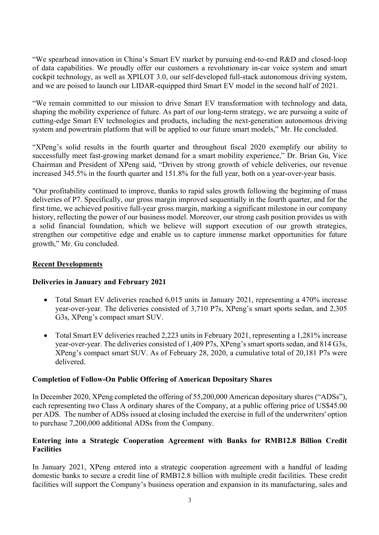"We spearhead innovation in China's Smart EV market by pursuing end-to-end R&D and closed-loop of data capabilities. We proudly offer our customers a revolutionary in-car voice system and smart cockpit technology, as well as XPILOT 3.0, our self-developed full-stack autonomous driving system, and we are poised to launch our LIDAR-equipped third Smart EV model in the second half of 2021.

"We remain committed to our mission to drive Smart EV transformation with technology and data, shaping the mobility experience of future. As part of our long-term strategy, we are pursuing a suite of cutting-edge Smart EV technologies and products, including the next-generation autonomous driving system and powertrain platform that will be applied to our future smart models," Mr. He concluded.

"XPeng's solid results in the fourth quarter and throughout fiscal 2020 exemplify our ability to successfully meet fast-growing market demand for a smart mobility experience," Dr. Brian Gu, Vice Chairman and President of XPeng said, "Driven by strong growth of vehicle deliveries, our revenue increased 345.5% in the fourth quarter and 151.8% for the full year, both on a year-over-year basis.

"Our profitability continued to improve, thanks to rapid sales growth following the beginning of mass deliveries of P7. Specifically, our gross margin improved sequentially in the fourth quarter, and for the first time, we achieved positive full-year gross margin, marking a significant milestone in our company history, reflecting the power of our business model. Moreover, our strong cash position provides us with a solid financial foundation, which we believe will support execution of our growth strategies, strengthen our competitive edge and enable us to capture immense market opportunities for future growth," Mr. Gu concluded.

## **Recent Developments**

## **Deliveries in January and February 2021**

- Total Smart EV deliveries reached 6,015 units in January 2021, representing a 470% increase year-over-year. The deliveries consisted of 3,710 P7s, XPeng's smart sports sedan, and 2,305 G3s, XPeng's compact smart SUV.
- Total Smart EV deliveries reached 2,223 units in February 2021, representing a 1,281% increase year-over-year. The deliveries consisted of 1,409 P7s, XPeng's smart sports sedan, and 814 G3s, XPeng's compact smart SUV. As of February 28, 2020, a cumulative total of 20,181 P7s were delivered.

## **Completion of Follow-On Public Offering of American Depositary Shares**

In December 2020, XPeng completed the offering of 55,200,000 American depositary shares ("ADSs"), each representing two Class A ordinary shares of the Company, at a public offering price of US\$45.00 per ADS. The number of ADSs issued at closing included the exercise in full of the underwriters' option to purchase 7,200,000 additional ADSs from the Company.

## **Entering into a Strategic Cooperation Agreement with Banks for RMB12.8 Billion Credit Facilities**

In January 2021, XPeng entered into a strategic cooperation agreement with a handful of leading domestic banks to secure a credit line of RMB12.8 billion with multiple credit facilities. These credit facilities will support the Company's business operation and expansion in its manufacturing, sales and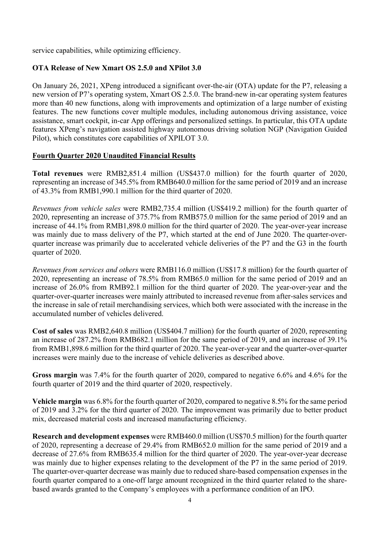service capabilities, while optimizing efficiency.

## **OTA Release of New Xmart OS 2.5.0 and XPilot 3.0**

On January 26, 2021, XPeng introduced a significant over-the-air (OTA) update for the P7, releasing a new version of P7's operating system, Xmart OS 2.5.0. The brand-new in-car operating system features more than 40 new functions, along with improvements and optimization of a large number of existing features. The new functions cover multiple modules, including autonomous driving assistance, voice assistance, smart cockpit, in-car App offerings and personalized settings. In particular, this OTA update features XPeng's navigation assisted highway autonomous driving solution NGP (Navigation Guided Pilot), which constitutes core capabilities of XPILOT 3.0.

## **Fourth Quarter 2020 Unaudited Financial Results**

**Total revenues** were RMB2,851.4 million (US\$437.0 million) for the fourth quarter of 2020, representing an increase of 345.5% from RMB640.0 million for the same period of 2019 and an increase of 43.3% from RMB1,990.1 million for the third quarter of 2020.

*Revenues from vehicle sales* were RMB2,735.4 million (US\$419.2 million) for the fourth quarter of 2020, representing an increase of 375.7% from RMB575.0 million for the same period of 2019 and an increase of 44.1% from RMB1,898.0 million for the third quarter of 2020. The year-over-year increase was mainly due to mass delivery of the P7, which started at the end of June 2020. The quarter-overquarter increase was primarily due to accelerated vehicle deliveries of the P7 and the G3 in the fourth quarter of 2020.

*Revenues from services and others* were RMB116.0 million (US\$17.8 million) for the fourth quarter of 2020, representing an increase of 78.5% from RMB65.0 million for the same period of 2019 and an increase of 26.0% from RMB92.1 million for the third quarter of 2020. The year-over-year and the quarter-over-quarter increases were mainly attributed to increased revenue from after-sales services and the increase in sale of retail merchandising services, which both were associated with the increase in the accumulated number of vehicles delivered.

**Cost of sales** was RMB2,640.8 million (US\$404.7 million) for the fourth quarter of 2020, representing an increase of 287.2% from RMB682.1 million for the same period of 2019, and an increase of 39.1% from RMB1,898.6 million for the third quarter of 2020. The year-over-year and the quarter-over-quarter increases were mainly due to the increase of vehicle deliveries as described above.

**Gross margin** was 7.4% for the fourth quarter of 2020, compared to negative 6.6% and 4.6% for the fourth quarter of 2019 and the third quarter of 2020, respectively.

**Vehicle margin** was 6.8% for the fourth quarter of 2020, compared to negative 8.5% for the same period of 2019 and 3.2% for the third quarter of 2020. The improvement was primarily due to better product mix, decreased material costs and increased manufacturing efficiency.

**Research and development expenses** were RMB460.0 million (US\$70.5 million) for the fourth quarter of 2020, representing a decrease of 29.4% from RMB652.0 million for the same period of 2019 and a decrease of 27.6% from RMB635.4 million for the third quarter of 2020. The year-over-year decrease was mainly due to higher expenses relating to the development of the P7 in the same period of 2019. The quarter-over-quarter decrease was mainly due to reduced share-based compensation expenses in the fourth quarter compared to a one-off large amount recognized in the third quarter related to the sharebased awards granted to the Company's employees with a performance condition of an IPO.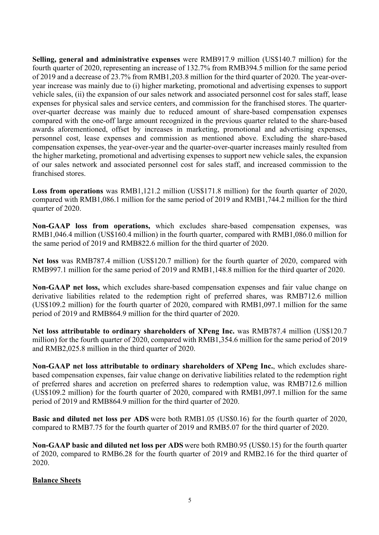**Selling, general and administrative expenses** were RMB917.9 million (US\$140.7 million) for the fourth quarter of 2020, representing an increase of 132.7% from RMB394.5 million for the same period of 2019 and a decrease of 23.7% from RMB1,203.8 million for the third quarter of 2020. The year-overyear increase was mainly due to (i) higher marketing, promotional and advertising expenses to support vehicle sales, (ii) the expansion of our sales network and associated personnel cost for sales staff, lease expenses for physical sales and service centers, and commission for the franchised stores. The quarterover-quarter decrease was mainly due to reduced amount of share-based compensation expenses compared with the one-off large amount recognized in the previous quarter related to the share-based awards aforementioned, offset by increases in marketing, promotional and advertising expenses, personnel cost, lease expenses and commission as mentioned above. Excluding the share-based compensation expenses, the year-over-year and the quarter-over-quarter increases mainly resulted from the higher marketing, promotional and advertising expenses to support new vehicle sales, the expansion of our sales network and associated personnel cost for sales staff, and increased commission to the franchised stores.

**Loss from operations** was RMB1,121.2 million (US\$171.8 million) for the fourth quarter of 2020, compared with RMB1,086.1 million for the same period of 2019 and RMB1,744.2 million for the third quarter of 2020.

**Non-GAAP loss from operations,** which excludes share-based compensation expenses, was RMB1,046.4 million (US\$160.4 million) in the fourth quarter, compared with RMB1,086.0 million for the same period of 2019 and RMB822.6 million for the third quarter of 2020.

**Net loss** was RMB787.4 million (US\$120.7 million) for the fourth quarter of 2020, compared with RMB997.1 million for the same period of 2019 and RMB1,148.8 million for the third quarter of 2020.

**Non-GAAP net loss,** which excludes share-based compensation expenses and fair value change on derivative liabilities related to the redemption right of preferred shares, was RMB712.6 million (US\$109.2 million) for the fourth quarter of 2020, compared with RMB1,097.1 million for the same period of 2019 and RMB864.9 million for the third quarter of 2020.

Net loss attributable to ordinary shareholders of XPeng Inc. was RMB787.4 million (US\$120.7) million) for the fourth quarter of 2020, compared with RMB1,354.6 million for the same period of 2019 and RMB2,025.8 million in the third quarter of 2020.

**Non-GAAP net loss attributable to ordinary shareholders of XPeng Inc.**, which excludes sharebased compensation expenses, fair value change on derivative liabilities related to the redemption right of preferred shares and accretion on preferred shares to redemption value, was RMB712.6 million (US\$109.2 million) for the fourth quarter of 2020, compared with RMB1,097.1 million for the same period of 2019 and RMB864.9 million for the third quarter of 2020.

**Basic and diluted net loss per ADS** were both RMB1.05 (US\$0.16) for the fourth quarter of 2020, compared to RMB7.75 for the fourth quarter of 2019 and RMB5.07 for the third quarter of 2020.

**Non-GAAP basic and diluted net loss per ADS** were both RMB0.95 (US\$0.15) for the fourth quarter of 2020, compared to RMB6.28 for the fourth quarter of 2019 and RMB2.16 for the third quarter of 2020.

## **Balance Sheets**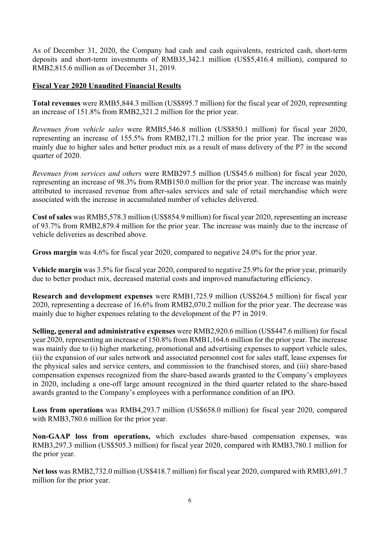As of December 31, 2020, the Company had cash and cash equivalents, restricted cash, short-term deposits and short-term investments of RMB35,342.1 million (US\$5,416.4 million), compared to RMB2,815.6 million as of December 31, 2019.

## **Fiscal Year 2020 Unaudited Financial Results**

**Total revenues** were RMB5,844.3 million (US\$895.7 million) for the fiscal year of 2020, representing an increase of 151.8% from RMB2,321.2 million for the prior year.

*Revenues from vehicle sales* were RMB5,546.8 million (US\$850.1 million) for fiscal year 2020, representing an increase of 155.5% from RMB2,171.2 million for the prior year. The increase was mainly due to higher sales and better product mix as a result of mass delivery of the P7 in the second quarter of 2020.

*Revenues from services and others* were RMB297.5 million (US\$45.6 million) for fiscal year 2020, representing an increase of 98.3% from RMB150.0 million for the prior year. The increase was mainly attributed to increased revenue from after-sales services and sale of retail merchandise which were associated with the increase in accumulated number of vehicles delivered.

**Cost of sales** was RMB5,578.3 million (US\$854.9 million) for fiscal year 2020, representing an increase of 93.7% from RMB2,879.4 million for the prior year. The increase was mainly due to the increase of vehicle deliveries as described above.

**Gross margin** was 4.6% for fiscal year 2020, compared to negative 24.0% for the prior year.

**Vehicle margin** was 3.5% for fiscal year 2020, compared to negative 25.9% for the prior year, primarily due to better product mix, decreased material costs and improved manufacturing efficiency.

**Research and development expenses** were RMB1,725.9 million (US\$264.5 million) for fiscal year 2020, representing a decrease of 16.6% from RMB2,070.2 million for the prior year. The decrease was mainly due to higher expenses relating to the development of the P7 in 2019.

**Selling, general and administrative expenses** were RMB2,920.6 million (US\$447.6 million) for fiscal year 2020, representing an increase of 150.8% from RMB1,164.6 million for the prior year. The increase was mainly due to (i) higher marketing, promotional and advertising expenses to support vehicle sales, (ii) the expansion of our sales network and associated personnel cost for sales staff, lease expenses for the physical sales and service centers, and commission to the franchised stores, and (iii) share-based compensation expenses recognized from the share-based awards granted to the Company's employees in 2020, including a one-off large amount recognized in the third quarter related to the share-based awards granted to the Company's employees with a performance condition of an IPO.

**Loss from operations** was RMB4,293.7 million (US\$658.0 million) for fiscal year 2020, compared with RMB3,780.6 million for the prior year.

**Non-GAAP loss from operations,** which excludes share-based compensation expenses, was RMB3,297.3 million (US\$505.3 million) for fiscal year 2020, compared with RMB3,780.1 million for the prior year.

**Net loss** was RMB2,732.0 million (US\$418.7 million) for fiscal year 2020, compared with RMB3,691.7 million for the prior year.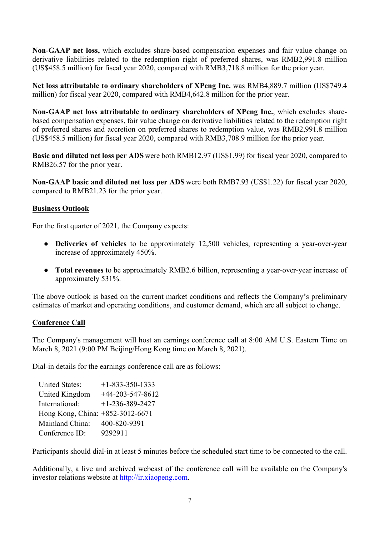**Non-GAAP net loss,** which excludes share-based compensation expenses and fair value change on derivative liabilities related to the redemption right of preferred shares, was RMB2,991.8 million (US\$458.5 million) for fiscal year 2020, compared with RMB3,718.8 million for the prior year.

**Net loss attributable to ordinary shareholders of XPeng Inc.** was RMB4,889.7 million (US\$749.4 million) for fiscal year 2020, compared with RMB4,642.8 million for the prior year.

**Non-GAAP net loss attributable to ordinary shareholders of XPeng Inc.**, which excludes sharebased compensation expenses, fair value change on derivative liabilities related to the redemption right of preferred shares and accretion on preferred shares to redemption value, was RMB2,991.8 million (US\$458.5 million) for fiscal year 2020, compared with RMB3,708.9 million for the prior year.

**Basic and diluted net loss per ADS** were both RMB12.97 (US\$1.99) for fiscal year 2020, compared to RMB26.57 for the prior year.

**Non-GAAP basic and diluted net loss per ADS** were both RMB7.93 (US\$1.22) for fiscal year 2020, compared to RMB21.23 for the prior year.

## **Business Outlook**

For the first quarter of 2021, the Company expects:

- **Deliveries of vehicles** to be approximately 12,500 vehicles, representing a year-over-year increase of approximately 450%.
- **Total revenues** to be approximately RMB2.6 billion, representing a year-over-year increase of approximately 531%.

The above outlook is based on the current market conditions and reflects the Company's preliminary estimates of market and operating conditions, and customer demand, which are all subject to change.

## **Conference Call**

The Company's management will host an earnings conference call at 8:00 AM U.S. Eastern Time on March 8, 2021 (9:00 PM Beijing/Hong Kong time on March 8, 2021).

Dial-in details for the earnings conference call are as follows:

| <b>United States:</b>            | $+1 - 833 - 350 - 1333$ |
|----------------------------------|-------------------------|
| United Kingdom                   | $+44-203-547-8612$      |
| International:                   | $+1 - 236 - 389 - 2427$ |
| Hong Kong, China: +852-3012-6671 |                         |
| Mainland China:                  | 400-820-9391            |
| Conference ID:                   | 9292911                 |
|                                  |                         |

Participants should dial-in at least 5 minutes before the scheduled start time to be connected to the call.

Additionally, a live and archived webcast of the conference call will be available on the Company's investor relations website at http://ir.xiaopeng.com.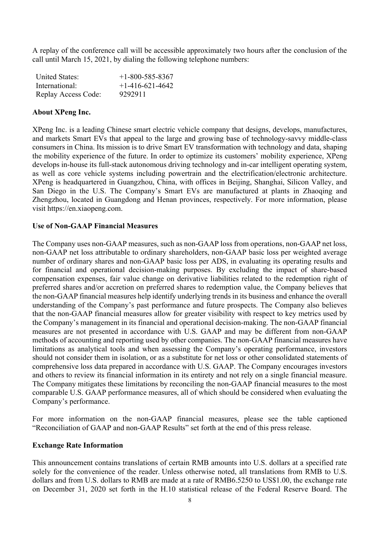A replay of the conference call will be accessible approximately two hours after the conclusion of the call until March 15, 2021, by dialing the following telephone numbers:

| <b>United States:</b> | $+1 - 800 - 585 - 8367$ |
|-----------------------|-------------------------|
| International:        | $+1-416-621-4642$       |
| Replay Access Code:   | 9292911                 |

### **About XPeng Inc.**

XPeng Inc. is a leading Chinese smart electric vehicle company that designs, develops, manufactures, and markets Smart EVs that appeal to the large and growing base of technology-savvy middle-class consumers in China. Its mission is to drive Smart EV transformation with technology and data, shaping the mobility experience of the future. In order to optimize its customers' mobility experience, XPeng develops in-house its full-stack autonomous driving technology and in-car intelligent operating system, as well as core vehicle systems including powertrain and the electrification/electronic architecture. XPeng is headquartered in Guangzhou, China, with offices in Beijing, Shanghai, Silicon Valley, and San Diego in the U.S. The Company's Smart EVs are manufactured at plants in Zhaoqing and Zhengzhou, located in Guangdong and Henan provinces, respectively. For more information, please visit https://en.xiaopeng.com.

#### **Use of Non-GAAP Financial Measures**

The Company uses non-GAAP measures, such as non-GAAP loss from operations, non-GAAP net loss, non-GAAP net loss attributable to ordinary shareholders, non-GAAP basic loss per weighted average number of ordinary shares and non-GAAP basic loss per ADS, in evaluating its operating results and for financial and operational decision-making purposes. By excluding the impact of share-based compensation expenses, fair value change on derivative liabilities related to the redemption right of preferred shares and/or accretion on preferred shares to redemption value, the Company believes that the non-GAAP financial measures help identify underlying trends in its business and enhance the overall understanding of the Company's past performance and future prospects. The Company also believes that the non-GAAP financial measures allow for greater visibility with respect to key metrics used by the Company's management in its financial and operational decision-making. The non-GAAP financial measures are not presented in accordance with U.S. GAAP and may be different from non-GAAP methods of accounting and reporting used by other companies. The non-GAAP financial measures have limitations as analytical tools and when assessing the Company's operating performance, investors should not consider them in isolation, or as a substitute for net loss or other consolidated statements of comprehensive loss data prepared in accordance with U.S. GAAP. The Company encourages investors and others to review its financial information in its entirety and not rely on a single financial measure. The Company mitigates these limitations by reconciling the non-GAAP financial measures to the most comparable U.S. GAAP performance measures, all of which should be considered when evaluating the Company's performance.

For more information on the non-GAAP financial measures, please see the table captioned "Reconciliation of GAAP and non-GAAP Results" set forth at the end of this press release.

### **Exchange Rate Information**

This announcement contains translations of certain RMB amounts into U.S. dollars at a specified rate solely for the convenience of the reader. Unless otherwise noted, all translations from RMB to U.S. dollars and from U.S. dollars to RMB are made at a rate of RMB6.5250 to US\$1.00, the exchange rate on December 31, 2020 set forth in the H.10 statistical release of the Federal Reserve Board. The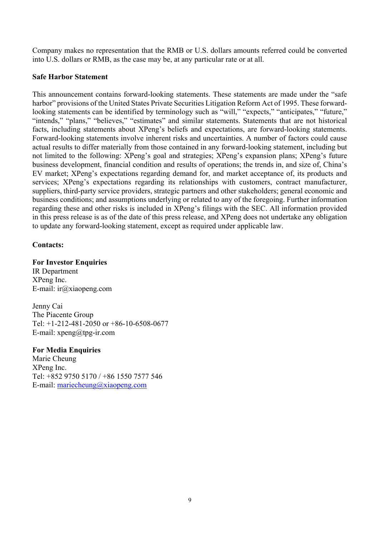Company makes no representation that the RMB or U.S. dollars amounts referred could be converted into U.S. dollars or RMB, as the case may be, at any particular rate or at all.

## **Safe Harbor Statement**

This announcement contains forward-looking statements. These statements are made under the "safe harbor" provisions of the United States Private Securities Litigation Reform Act of 1995. These forwardlooking statements can be identified by terminology such as "will," "expects," "anticipates," "future," "intends," "plans," "believes," "estimates" and similar statements. Statements that are not historical facts, including statements about XPeng's beliefs and expectations, are forward-looking statements. Forward-looking statements involve inherent risks and uncertainties. A number of factors could cause actual results to differ materially from those contained in any forward-looking statement, including but not limited to the following: XPeng's goal and strategies; XPeng's expansion plans; XPeng's future business development, financial condition and results of operations; the trends in, and size of, China's EV market; XPeng's expectations regarding demand for, and market acceptance of, its products and services; XPeng's expectations regarding its relationships with customers, contract manufacturer, suppliers, third-party service providers, strategic partners and other stakeholders; general economic and business conditions; and assumptions underlying or related to any of the foregoing. Further information regarding these and other risks is included in XPeng's filings with the SEC. All information provided in this press release is as of the date of this press release, and XPeng does not undertake any obligation to update any forward-looking statement, except as required under applicable law.

# **Contacts:**

**For Investor Enquiries** IR Department XPeng Inc. E-mail: ir@xiaopeng.com

Jenny Cai The Piacente Group Tel: +1-212-481-2050 or +86-10-6508-0677 E-mail: xpeng@tpg-ir.com

# **For Media Enquiries**

Marie Cheung XPeng Inc. Tel: +852 9750 5170 / +86 1550 7577 546 E-mail: mariecheung@xiaopeng.com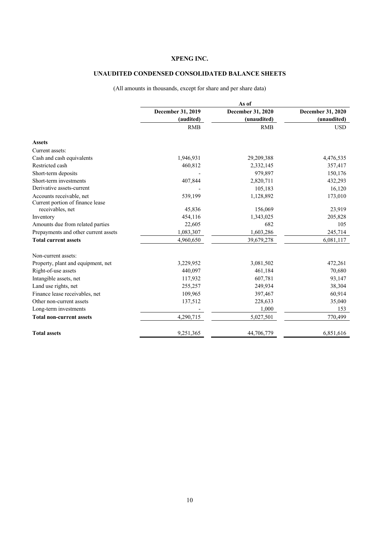## **UNAUDITED CONDENSED CONSOLIDATED BALANCE SHEETS**

|                                      | As of             |                   |                   |  |
|--------------------------------------|-------------------|-------------------|-------------------|--|
|                                      | December 31, 2019 | December 31, 2020 | December 31, 2020 |  |
|                                      | (audited)         | (unaudited)       | (unaudited)       |  |
|                                      | <b>RMB</b>        | <b>RMB</b>        | <b>USD</b>        |  |
| <b>Assets</b>                        |                   |                   |                   |  |
| Current assets:                      |                   |                   |                   |  |
| Cash and cash equivalents            | 1,946,931         | 29,209,388        | 4,476,535         |  |
| Restricted cash                      | 460,812           | 2,332,145         | 357,417           |  |
| Short-term deposits                  |                   | 979,897           | 150,176           |  |
| Short-term investments               | 407,844           | 2,820,711         | 432,293           |  |
| Derivative assets-current            |                   | 105,183           | 16,120            |  |
| Accounts receivable, net             | 539,199           | 1,128,892         | 173,010           |  |
| Current portion of finance lease     |                   |                   |                   |  |
| receivables, net                     | 45,836            | 156,069           | 23,919            |  |
| Inventory                            | 454,116           | 1,343,025         | 205,828           |  |
| Amounts due from related parties     | 22,605            | 682               | 105               |  |
| Prepayments and other current assets | 1,083,307         | 1,603,286         | 245,714           |  |
| <b>Total current assets</b>          | 4,960,650         | 39,679,278        | 6,081,117         |  |
| Non-current assets:                  |                   |                   |                   |  |
| Property, plant and equipment, net   | 3,229,952         | 3,081,502         | 472,261           |  |
| Right-of-use assets                  | 440,097           | 461,184           | 70,680            |  |
| Intangible assets, net               | 117,932           | 607,781           | 93,147            |  |
| Land use rights, net                 | 255,257           | 249,934           | 38,304            |  |
| Finance lease receivables, net       | 109,965           | 397,467           | 60,914            |  |
| Other non-current assets             | 137,512           | 228,633           | 35,040            |  |
| Long-term investments                |                   | 1,000             | 153               |  |
| <b>Total non-current assets</b>      | 4,290,715         | 5,027,501         | 770,499           |  |
| <b>Total assets</b>                  | 9,251,365         | 44,706,779        | 6,851,616         |  |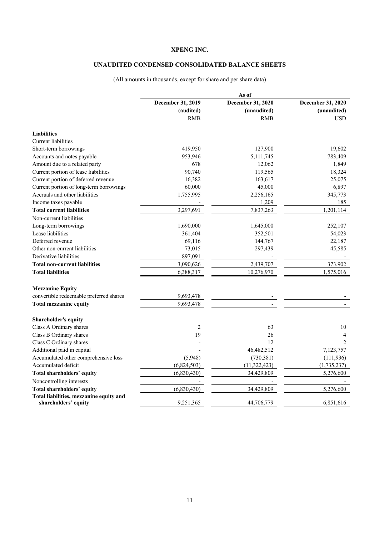#### **UNAUDITED CONDENSED CONSOLIDATED BALANCE SHEETS**

|                                         | As of             |                   |                   |  |
|-----------------------------------------|-------------------|-------------------|-------------------|--|
|                                         | December 31, 2019 | December 31, 2020 | December 31, 2020 |  |
|                                         | (audited)         | (unaudited)       | (unaudited)       |  |
|                                         | <b>RMB</b>        | <b>RMB</b>        | <b>USD</b>        |  |
| <b>Liabilities</b>                      |                   |                   |                   |  |
| Current liabilities                     |                   |                   |                   |  |
| Short-term borrowings                   | 419,950           | 127,900           | 19.602            |  |
| Accounts and notes payable              | 953,946           | 5,111,745         | 783,409           |  |
| Amount due to a related party           | 678               | 12,062            | 1,849             |  |
| Current portion of lease liabilities    | 90,740            | 119,565           | 18,324            |  |
| Current portion of deferred revenue     | 16,382            | 163,617           | 25,075            |  |
| Current portion of long-term borrowings | 60,000            | 45,000            | 6,897             |  |
| Accruals and other liabilities          | 1,755,995         | 2,256,165         | 345,773           |  |
| Income taxes payable                    |                   | 1,209             | 185               |  |
| <b>Total current liabilities</b>        | 3,297,691         | 7,837,263         | 1,201,114         |  |
| Non-current liabilities                 |                   |                   |                   |  |
| Long-term borrowings                    | 1,690,000         | 1,645,000         | 252,107           |  |
| Lease liabilities                       | 361,404           | 352,501           | 54,023            |  |
| Deferred revenue                        | 69,116            | 144,767           | 22,187            |  |
| Other non-current liabilities           | 73,015            | 297,439           | 45,585            |  |
| Derivative liabilities                  | 897,091           |                   |                   |  |
| <b>Total non-current liabilities</b>    | 3,090,626         | 2,439,707         | 373,902           |  |
| <b>Total liabilities</b>                | 6,388,317         | 10,276,970        | 1,575,016         |  |
| <b>Mezzanine Equity</b>                 |                   |                   |                   |  |
| convertible redeemable preferred shares | 9,693,478         |                   |                   |  |
| <b>Total mezzanine equity</b>           | 9,693,478         |                   |                   |  |
| <b>Shareholder's equity</b>             |                   |                   |                   |  |
| Class A Ordinary shares                 | $\overline{2}$    | 63                | 10                |  |
| Class B Ordinary shares                 | 19                | 26                | 4                 |  |
| Class C Ordinary shares                 |                   | 12                | $\overline{c}$    |  |
| Additional paid in capital              |                   | 46,482,512        | 7,123,757         |  |
| Accumulated other comprehensive loss    | (5,948)           | (730, 381)        | (111, 936)        |  |
| Accumulated deficit                     | (6,824,503)       | (11,322,423)      | (1,735,237)       |  |
| Total shareholders' equity              | (6,830,430)       | 34,429,809        | 5,276,600         |  |
| Noncontrolling interests                |                   |                   |                   |  |
| Total shareholders' equity              | (6,830,430)       | 34,429,809        | 5,276,600         |  |
| Total liabilities, mezzanine equity and |                   |                   |                   |  |
| shareholders' equity                    | 9,251,365         | 44,706,779        | 6,851,616         |  |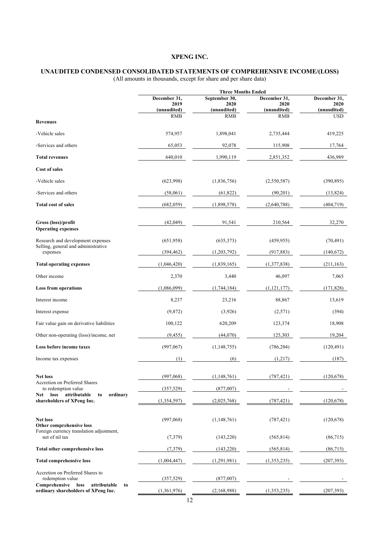#### **UNAUDITED CONDENSED CONSOLIDATED STATEMENTS OF COMPREHENSIVE INCOME/(LOSS)**

|                                                                                 | <b>Three Months Ended</b>           |                                      |                                     |                                     |
|---------------------------------------------------------------------------------|-------------------------------------|--------------------------------------|-------------------------------------|-------------------------------------|
|                                                                                 | December 31,<br>2019<br>(unaudited) | September 30,<br>2020<br>(unaudited) | December 31,<br>2020<br>(unaudited) | December 31,<br>2020<br>(unaudited) |
| <b>Revenues</b>                                                                 | <b>RMB</b>                          | <b>RMB</b>                           | <b>RMB</b>                          | <b>USD</b>                          |
| -Vehicle sales                                                                  | 574,957                             | 1,898,041                            | 2,735,444                           | 419,225                             |
| -Services and others                                                            | 65,053                              | 92,078                               | 115,908                             | 17,764                              |
| <b>Total revenues</b>                                                           | 640,010                             | 1,990,119                            | 2,851,352                           | 436,989                             |
| <b>Cost of sales</b>                                                            |                                     |                                      |                                     |                                     |
| -Vehicle sales                                                                  | (623,998)                           | (1,836,756)                          | (2,550,587)                         | (390, 895)                          |
| -Services and others                                                            | (58,061)                            | (61, 822)                            | (90,201)                            | (13,824)                            |
| <b>Total cost of sales</b>                                                      | (682, 059)                          | (1,898,578)                          | (2,640,788)                         | (404, 719)                          |
| Gross (loss)/profit<br><b>Operating expenses</b>                                | (42,049)                            | 91,541                               | 210,564                             | 32,270                              |
| Research and development expenses                                               | (651,958)                           | (635, 373)                           | (459, 955)                          | (70, 491)                           |
| Selling, general and administrative<br>expenses                                 | (394, 462)                          | (1,203,792)                          | (917, 883)                          | (140,672)                           |
| <b>Total operating expenses</b>                                                 | (1,046,420)                         | (1,839,165)                          | (1,377,838)                         | (211, 163)                          |
| Other income                                                                    | 2,370                               | 3,440                                | 46,097                              | 7,065                               |
| <b>Loss from operations</b>                                                     | (1,086,099)                         | (1,744,184)                          | (1, 121, 177)                       | (171, 828)                          |
| Interest income                                                                 | 8,237                               | 23,216                               | 88,867                              | 13,619                              |
| Interest expense                                                                | (9,872)                             | (3,926)                              | (2,571)                             | (394)                               |
| Fair value gain on derivative liabilities                                       | 100,122                             | 620,209                              | 123,374                             | 18,908                              |
| Other non-operating (loss)/income, net                                          | (9, 455)                            | (44,070)                             | 125,303                             | 19,204                              |
| Loss before income taxes                                                        | (997,067)                           | (1, 148, 755)                        | (786, 204)                          | (120, 491)                          |
| Income tax expenses                                                             | (1)                                 | (6)                                  | (1,217)                             | (187)                               |
| Net loss                                                                        | (997,068)                           | (1, 148, 761)                        | (787, 421)                          | (120, 678)                          |
| Accretion on Preferred Shares<br>to redemption value                            | (357, 529)                          | (877,007)                            |                                     |                                     |
| loss attributable<br>ordinary<br>Net<br>to<br>shareholders of XPeng Inc.        | (1,354,597)                         | (2,025,768)                          | (787, 421)                          | (120, 678)                          |
| <b>Net loss</b><br>Other comprehensive loss                                     | (997,068)                           | (1,148,761)                          | (787, 421)                          | (120, 678)                          |
| Foreign currency translation adjustment,<br>net of nil tax                      | (7,379)                             | (143,220)                            | (565, 814)                          | (86,715)                            |
| <b>Total other comprehensive loss</b>                                           | (7,379)                             | (143,220)                            | (565, 814)                          | (86,715)                            |
| <b>Total comprehensive loss</b>                                                 | (1,004,447)                         | (1,291,981)                          | (1,353,235)                         | (207, 393)                          |
| Accretion on Preferred Shares to<br>redemption value                            | (357, 529)                          | (877,007)                            |                                     |                                     |
| Comprehensive loss<br>attributable<br>to<br>ordinary shareholders of XPeng Inc. | (1,361,976)                         | (2,168,988)                          | (1,353,235)                         | (207, 393)                          |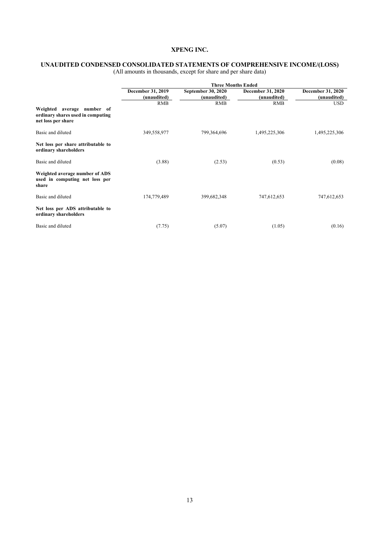#### **UNAUDITED CONDENSED CONSOLIDATED STATEMENTS OF COMPREHENSIVE INCOME/(LOSS)**

|                                                                                       | <b>Three Months Ended</b> |                           |                   |                          |
|---------------------------------------------------------------------------------------|---------------------------|---------------------------|-------------------|--------------------------|
|                                                                                       | December 31, 2019         | <b>September 30, 2020</b> | December 31, 2020 | <b>December 31, 2020</b> |
|                                                                                       | (unaudited)               | (unaudited)               | (unaudited)       | (unaudited)              |
| Weighted average number of<br>ordinary shares used in computing<br>net loss per share | <b>RMB</b>                | <b>RMB</b>                | <b>RMB</b>        | <b>USD</b>               |
| Basic and diluted                                                                     | 349,558,977               | 799,364,696               | 1,495,225,306     | 1,495,225,306            |
| Net loss per share attributable to<br>ordinary shareholders                           |                           |                           |                   |                          |
| Basic and diluted                                                                     | (3.88)                    | (2.53)                    | (0.53)            | (0.08)                   |
| Weighted average number of ADS<br>used in computing net loss per<br>share             |                           |                           |                   |                          |
| Basic and diluted                                                                     | 174,779,489               | 399,682,348               | 747,612,653       | 747,612,653              |
| Net loss per ADS attributable to<br>ordinary shareholders                             |                           |                           |                   |                          |
| Basic and diluted                                                                     | (7.75)                    | (5.07)                    | (1.05)            | (0.16)                   |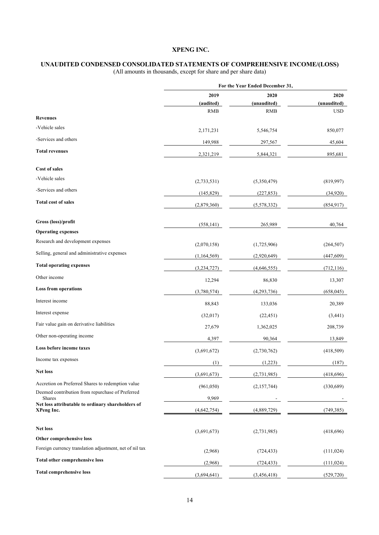## **UNAUDITED CONDENSED CONSOLIDATED STATEMENTS OF COMPREHENSIVE INCOME/(LOSS)**

|                                                                 | For the Year Ended December 31, |                     |                     |  |
|-----------------------------------------------------------------|---------------------------------|---------------------|---------------------|--|
|                                                                 | 2019<br>(audited)               | 2020<br>(unaudited) | 2020<br>(unaudited) |  |
|                                                                 | <b>RMB</b>                      | <b>RMB</b>          | <b>USD</b>          |  |
| <b>Revenues</b>                                                 |                                 |                     |                     |  |
| -Vehicle sales                                                  | 2,171,231                       | 5,546,754           | 850,077             |  |
| -Services and others                                            | 149,988                         | 297,567             | 45,604              |  |
| <b>Total revenues</b>                                           | 2,321,219                       | 5,844,321           | 895,681             |  |
| <b>Cost of sales</b>                                            |                                 |                     |                     |  |
| -Vehicle sales                                                  | (2,733,531)                     | (5,350,479)         | (819,997)           |  |
| -Services and others                                            | (145, 829)                      | (227, 853)          | (34,920)            |  |
| <b>Total cost of sales</b>                                      | (2,879,360)                     | (5,578,332)         | (854, 917)          |  |
| Gross (loss)/profit                                             | (558, 141)                      | 265,989             | 40,764              |  |
| <b>Operating expenses</b>                                       |                                 |                     |                     |  |
| Research and development expenses                               | (2,070,158)                     | (1,725,906)         | (264, 507)          |  |
| Selling, general and administrative expenses                    | (1,164,569)                     | (2,920,649)         | (447,609)           |  |
| <b>Total operating expenses</b>                                 | (3, 234, 727)                   | (4,646,555)         | (712, 116)          |  |
| Other income                                                    | 12,294                          | 86,830              | 13,307              |  |
| <b>Loss from operations</b>                                     | (3,780,574)                     | (4,293,736)         | (658, 045)          |  |
| Interest income                                                 | 88,843                          | 133,036             | 20,389              |  |
| Interest expense                                                | (32,017)                        | (22, 451)           | (3,441)             |  |
| Fair value gain on derivative liabilities                       | 27,679                          | 1,362,025           | 208,739             |  |
| Other non-operating income                                      | 4,397                           | 90,364              | 13,849              |  |
| Loss before income taxes                                        | (3,691,672)                     | (2,730,762)         | (418, 509)          |  |
| Income tax expenses                                             | (1)                             | (1,223)             | (187)               |  |
| Net loss                                                        | (3,691,673)                     | (2,731,985)         | (418,696)           |  |
| Accretion on Preferred Shares to redemption value               | (961,050)                       | (2,157,744)         | (330,689)           |  |
| Deemed contribution from repurchase of Preferred<br>Shares      | 9,969                           |                     |                     |  |
| Net loss attributable to ordinary shareholders of<br>XPeng Inc. | (4, 642, 754)                   | (4,889,729)         | (749, 385)          |  |
| Net loss                                                        | (3,691,673)                     | (2,731,985)         | (418,696)           |  |
| Other comprehensive loss                                        |                                 |                     |                     |  |
| Foreign currency translation adjustment, net of nil tax         | (2,968)                         | (724, 433)          | (111, 024)          |  |
| Total other comprehensive loss                                  | (2,968)                         | (724, 433)          | (111, 024)          |  |
| <b>Total comprehensive loss</b>                                 | (3,694,641)                     | (3,456,418)         | (529, 720)          |  |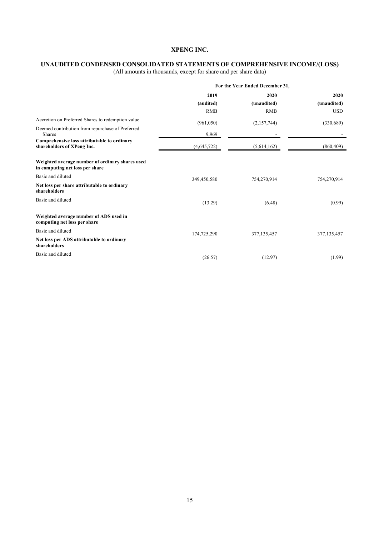#### **UNAUDITED CONDENSED CONSOLIDATED STATEMENTS OF COMPREHENSIVE INCOME/(LOSS)**

|                                                                                    | For the Year Ended December 31, |                     |                     |  |
|------------------------------------------------------------------------------------|---------------------------------|---------------------|---------------------|--|
|                                                                                    | 2019                            | 2020<br>(unaudited) | 2020<br>(unaudited) |  |
|                                                                                    | (audited)                       |                     |                     |  |
|                                                                                    | <b>RMB</b>                      | <b>RMB</b>          | <b>USD</b>          |  |
| Accretion on Preferred Shares to redemption value                                  | (961,050)                       | (2,157,744)         | (330,689)           |  |
| Deemed contribution from repurchase of Preferred<br><b>Shares</b>                  | 9,969                           |                     |                     |  |
| Comprehensive loss attributable to ordinary<br>shareholders of XPeng Inc.          | (4, 645, 722)                   | (5,614,162)         | (860, 409)          |  |
| Weighted average number of ordinary shares used<br>in computing net loss per share |                                 |                     |                     |  |
| Basic and diluted                                                                  | 349,450,580                     | 754,270,914         | 754,270,914         |  |
| Net loss per share attributable to ordinary<br>shareholders                        |                                 |                     |                     |  |
| Basic and diluted                                                                  | (13.29)                         | (6.48)              | (0.99)              |  |
| Weighted average number of ADS used in<br>computing net loss per share             |                                 |                     |                     |  |
| Basic and diluted                                                                  | 174,725,290                     | 377, 135, 457       | 377,135,457         |  |
| Net loss per ADS attributable to ordinary<br>shareholders                          |                                 |                     |                     |  |
| Basic and diluted                                                                  | (26.57)                         | (12.97)             | (1.99)              |  |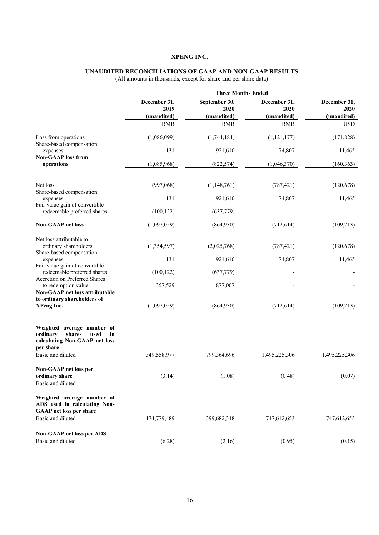#### **UNAUDITED RECONCILIATIONS OF GAAP AND NON-GAAP RESULTS**

|                                                                                                              |                                     | <b>Three Months Ended</b>            |                                     |                                     |  |
|--------------------------------------------------------------------------------------------------------------|-------------------------------------|--------------------------------------|-------------------------------------|-------------------------------------|--|
|                                                                                                              | December 31,<br>2019<br>(unaudited) | September 30,<br>2020<br>(unaudited) | December 31,<br>2020<br>(unaudited) | December 31,<br>2020<br>(unaudited) |  |
|                                                                                                              | <b>RMB</b>                          | <b>RMB</b>                           | <b>RMB</b>                          | <b>USD</b>                          |  |
| Loss from operations<br>Share-based compensation                                                             | (1,086,099)                         | (1,744,184)                          | (1, 121, 177)                       | (171, 828)                          |  |
| expenses                                                                                                     | 131                                 | 921,610                              | 74,807                              | 11,465                              |  |
| <b>Non-GAAP</b> loss from<br>operations                                                                      | (1,085,968)                         | (822, 574)                           | (1,046,370)                         | (160, 363)                          |  |
| Net loss                                                                                                     | (997,068)                           | (1,148,761)                          | (787, 421)                          | (120, 678)                          |  |
| Share-based compensation<br>expenses                                                                         | 131                                 | 921,610                              | 74,807                              | 11,465                              |  |
| Fair value gain of convertible<br>redeemable preferred shares                                                | (100, 122)                          | (637, 779)                           |                                     |                                     |  |
| <b>Non-GAAP</b> net loss                                                                                     | (1,097,059)                         | (864,930)                            | (712, 614)                          | (109, 213)                          |  |
| Net loss attributable to<br>ordinary shareholders                                                            | (1,354,597)                         | (2,025,768)                          | (787, 421)                          | (120, 678)                          |  |
| Share-based compensation<br>expenses                                                                         | 131                                 | 921,610                              | 74,807                              | 11,465                              |  |
| Fair value gain of convertible<br>redeemable preferred shares<br>Accretion on Preferred Shares               | (100, 122)                          | (637,779)                            |                                     |                                     |  |
| to redemption value                                                                                          | 357,529                             | 877,007                              |                                     |                                     |  |
| Non-GAAP net loss attributable<br>to ordinary shareholders of<br><b>XPeng Inc.</b>                           | (1,097,059)                         | (864,930)                            | (712, 614)                          | (109,213)                           |  |
| Weighted average number of<br>used<br>ordinary<br>shares<br>in<br>calculating Non-GAAP net loss<br>per share |                                     |                                      |                                     |                                     |  |
| Basic and diluted                                                                                            | 349,558,977                         | 799,364,696                          | 1,495,225,306                       | 1,495,225,306                       |  |
| Non-GAAP net loss per<br>ordinary share<br>Basic and diluted                                                 | (3.14)                              | (1.08)                               | (0.48)                              | (0.07)                              |  |
| Weighted average number of<br>ADS used in calculating Non-<br><b>GAAP</b> net loss per share                 |                                     |                                      |                                     |                                     |  |
| Basic and diluted                                                                                            | 174,779,489                         | 399,682,348                          | 747,612,653                         | 747,612,653                         |  |
| <b>Non-GAAP net loss per ADS</b><br>Basic and diluted                                                        | (6.28)                              | (2.16)                               | (0.95)                              | (0.15)                              |  |